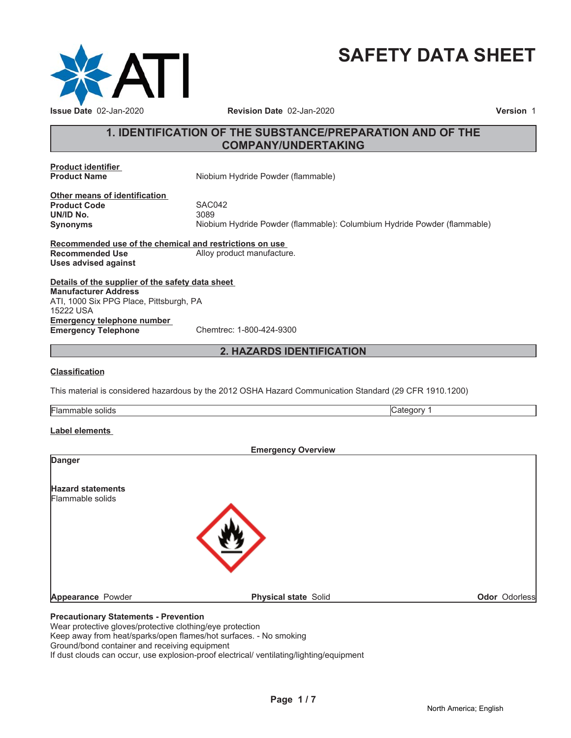

# **SAFETY DATA SHEET**

# **1. IDENTIFICATION OF THE SUBSTANCE/PREPARATION AND OF THE COMPANY/UNDERTAKING**

**Product identifier**

**Niobium Hydride Powder (flammable)** 

**Other means of identification Product Code 5AC042**<br> **UN/ID No.** 3089 **UN/ID No.** 

**Synonyms** Niobium Hydride Powder (flammable): Columbium Hydride Powder (flammable)

**Recommended use of the chemical and restrictions on use Recommended Use** Alloy product manufacture. **Uses advised against**

**Details of the supplier of the safety data sheet Emergency telephone number Emergency Telephone** Chemtrec: 1-800-424-9300 **Manufacturer Address** ATI, 1000 Six PPG Place, Pittsburgh, PA 15222 USA

# **2. HAZARDS IDENTIFICATION**

## **Classification**

This material is considered hazardous by the 2012 OSHA Hazard Communication Standard (29 CFR 1910.1200)

| . .<br>- -<br>- 10<br>olia:<br>-iai<br>11 JI |  |
|----------------------------------------------|--|
|                                              |  |

## **Label elements**

|                                              | <b>Emergency Overview</b>   |                      |
|----------------------------------------------|-----------------------------|----------------------|
| <b>Danger</b>                                |                             |                      |
| <b>Hazard statements</b>                     |                             |                      |
| Flammable solids                             |                             |                      |
|                                              |                             |                      |
|                                              |                             |                      |
|                                              |                             |                      |
|                                              |                             |                      |
| Appearance Powder                            | <b>Physical state Solid</b> | <b>Odor Odorless</b> |
| <b>Precautionary Statements - Prevention</b> |                             |                      |

Wear protective gloves/protective clothing/eye protection Keep away from heat/sparks/open flames/hot surfaces. - No smoking Ground/bond container and receiving equipment If dust clouds can occur, use explosion-proof electrical/ ventilating/lighting/equipment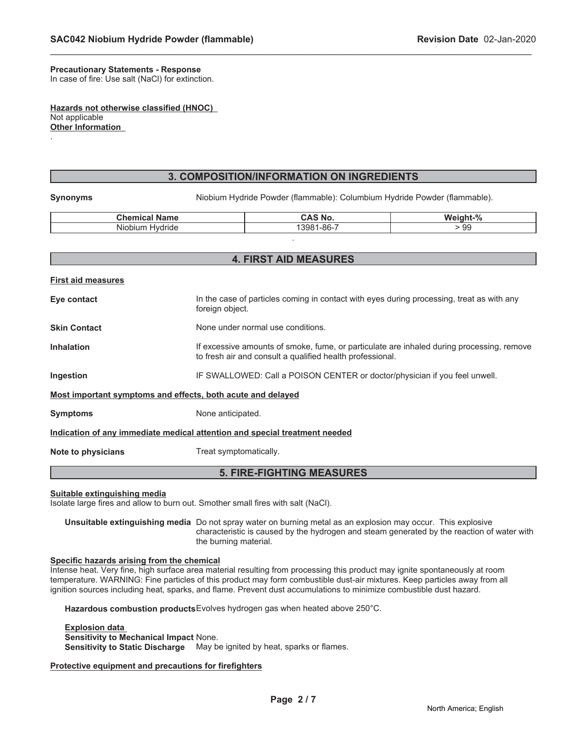# **Precautionary Statements - Response**

In case of fire: Use salt (NaCl) for extinction.

**Hazards not otherwise classified (HNOC)** Not applicable **Other Information**

## **3. COMPOSITION/INFORMATION ON INGREDIENTS**

\_\_\_\_\_\_\_\_\_\_\_\_\_\_\_\_\_\_\_\_\_\_\_\_\_\_\_\_\_\_\_\_\_\_\_\_\_\_\_\_\_\_\_\_\_\_\_\_\_\_\_\_\_\_\_\_\_\_\_\_\_\_\_\_\_\_\_\_\_\_\_\_\_\_\_\_\_\_\_\_\_\_\_\_\_\_\_\_\_\_\_\_\_

.

**Synonyms** Niobium Hydride Powder (flammable): Columbium Hydride Powder (flammable).

| $\sim$ $\sim$<br>Chamiaal<br>Name | AS No.                                            | $+0/$<br>.<br>.<br>w.<br>70 |
|-----------------------------------|---------------------------------------------------|-----------------------------|
| .<br>Hvdride<br>Niobium           | OC <sub>7</sub><br>$\sim$ $\sim$<br>-מס-ו<br>האר. | . 99                        |
|                                   |                                                   |                             |

# **4. FIRST AID MEASURES**

| <b>First aid measures</b>                                                  |                                                                                                                                                        |  |
|----------------------------------------------------------------------------|--------------------------------------------------------------------------------------------------------------------------------------------------------|--|
| Eye contact                                                                | In the case of particles coming in contact with eyes during processing, treat as with any<br>foreign object.                                           |  |
| <b>Skin Contact</b>                                                        | None under normal use conditions.                                                                                                                      |  |
| <b>Inhalation</b>                                                          | If excessive amounts of smoke, fume, or particulate are inhaled during processing, remove<br>to fresh air and consult a qualified health professional. |  |
| Ingestion                                                                  | IF SWALLOWED: Call a POISON CENTER or doctor/physician if you feel unwell.                                                                             |  |
| Most important symptoms and effects, both acute and delayed                |                                                                                                                                                        |  |
| <b>Symptoms</b>                                                            | None anticipated.                                                                                                                                      |  |
| Indication of any immediate medical attention and special treatment needed |                                                                                                                                                        |  |
| Note to physicians                                                         | Treat symptomatically.                                                                                                                                 |  |

## **5. FIRE-FIGHTING MEASURES**

#### **Suitable extinguishing media**

Isolate large fires and allow to burn out. Smother small fires with salt (NaCl).

**Unsuitable extinguishing media** Do not spray water on burning metal as an explosion may occur. This explosive characteristic is caused by the hydrogen and steam generated by the reaction of water with the burning material.

#### **Specific hazards arising from the chemical**

Intense heat. Very fine, high surface area material resulting from processing this product may ignite spontaneously at room temperature. WARNING: Fine particles of this product may form combustible dust-air mixtures. Keep particles away from all ignition sources including heat, sparks, and flame. Prevent dust accumulations to minimize combustible dust hazard.

**Hazardous combustion products**Evolves hydrogen gas when heated above 250°C.

#### **Explosion data Sensitivity to Mechanical Impact** None. **Sensitivity to Static Discharge** May be ignited by heat, sparks or flames.

## **Protective equipment and precautions for firefighters**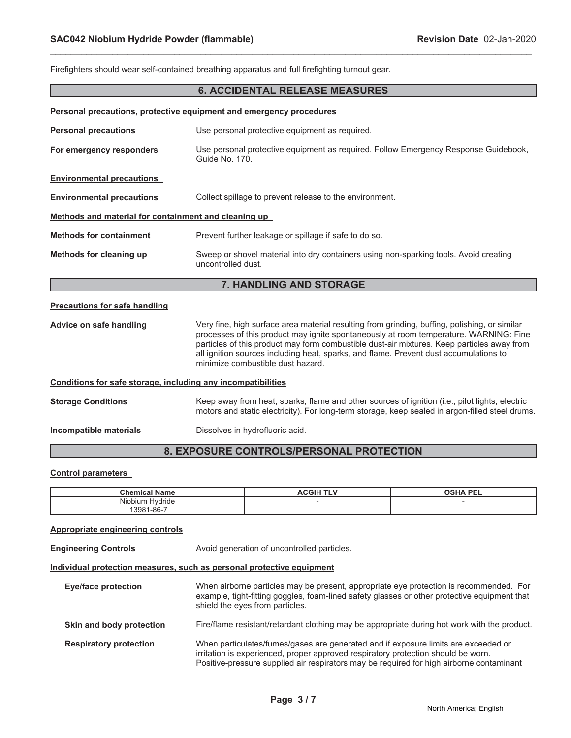|                                                              | Firefighters should wear self-contained breathing apparatus and full firefighting turnout gear.                                                                                                                                                                                                                                                                                                                    |  |
|--------------------------------------------------------------|--------------------------------------------------------------------------------------------------------------------------------------------------------------------------------------------------------------------------------------------------------------------------------------------------------------------------------------------------------------------------------------------------------------------|--|
|                                                              | <b>6. ACCIDENTAL RELEASE MEASURES</b>                                                                                                                                                                                                                                                                                                                                                                              |  |
|                                                              | Personal precautions, protective equipment and emergency procedures                                                                                                                                                                                                                                                                                                                                                |  |
| <b>Personal precautions</b>                                  | Use personal protective equipment as required.                                                                                                                                                                                                                                                                                                                                                                     |  |
| For emergency responders                                     | Use personal protective equipment as required. Follow Emergency Response Guidebook,<br>Guide No. 170.                                                                                                                                                                                                                                                                                                              |  |
| <b>Environmental precautions</b>                             |                                                                                                                                                                                                                                                                                                                                                                                                                    |  |
| <b>Environmental precautions</b>                             | Collect spillage to prevent release to the environment.                                                                                                                                                                                                                                                                                                                                                            |  |
| Methods and material for containment and cleaning up         |                                                                                                                                                                                                                                                                                                                                                                                                                    |  |
| <b>Methods for containment</b>                               | Prevent further leakage or spillage if safe to do so.                                                                                                                                                                                                                                                                                                                                                              |  |
| Methods for cleaning up                                      | Sweep or shovel material into dry containers using non-sparking tools. Avoid creating<br>uncontrolled dust                                                                                                                                                                                                                                                                                                         |  |
|                                                              | 7. HANDLING AND STORAGE                                                                                                                                                                                                                                                                                                                                                                                            |  |
| <b>Precautions for safe handling</b>                         |                                                                                                                                                                                                                                                                                                                                                                                                                    |  |
| Advice on safe handling                                      | Very fine, high surface area material resulting from grinding, buffing, polishing, or similar<br>processes of this product may ignite spontaneously at room temperature. WARNING: Fine<br>particles of this product may form combustible dust-air mixtures. Keep particles away from<br>all ignition sources including heat, sparks, and flame. Prevent dust accumulations to<br>minimize combustible dust hazard. |  |
| Conditions for safe storage, including any incompatibilities |                                                                                                                                                                                                                                                                                                                                                                                                                    |  |
| <b>Storage Conditions</b>                                    | Keep away from heat, sparks, flame and other sources of ignition (i.e., pilot lights, electric<br>motors and static electricity). For long-term storage, keep sealed in argon-filled steel drums.                                                                                                                                                                                                                  |  |
| Incompatible materials                                       | Dissolves in hydrofluoric acid.                                                                                                                                                                                                                                                                                                                                                                                    |  |
| 8. EXPOSURE CONTROLS/PERSONAL PROTECTION                     |                                                                                                                                                                                                                                                                                                                                                                                                                    |  |

\_\_\_\_\_\_\_\_\_\_\_\_\_\_\_\_\_\_\_\_\_\_\_\_\_\_\_\_\_\_\_\_\_\_\_\_\_\_\_\_\_\_\_\_\_\_\_\_\_\_\_\_\_\_\_\_\_\_\_\_\_\_\_\_\_\_\_\_\_\_\_\_\_\_\_\_\_\_\_\_\_\_\_\_\_\_\_\_\_\_\_\_\_

## **8. EXPOSURE CONTROLS/PERSONAL PROTECTION**

## **Control parameters**

| Chemio                                | ACGIH | <b>PEL</b> |
|---------------------------------------|-------|------------|
| name                                  | .     | OSHA       |
| .<br>Hvdride<br>Niobium<br>13981-86-7 |       |            |

## **Appropriate engineering controls**

**Engineering Controls Avoid generation of uncontrolled particles.** 

## **Individual protection measures, such as personal protective equipment**

| Eye/face protection           | When airborne particles may be present, appropriate eye protection is recommended. For<br>example, tight-fitting goggles, foam-lined safety glasses or other protective equipment that<br>shield the eyes from particles.                                           |
|-------------------------------|---------------------------------------------------------------------------------------------------------------------------------------------------------------------------------------------------------------------------------------------------------------------|
| Skin and body protection      | Fire/flame resistant/retardant clothing may be appropriate during hot work with the product.                                                                                                                                                                        |
| <b>Respiratory protection</b> | When particulates/fumes/gases are generated and if exposure limits are exceeded or<br>irritation is experienced, proper approved respiratory protection should be worn.<br>Positive-pressure supplied air respirators may be required for high airborne contaminant |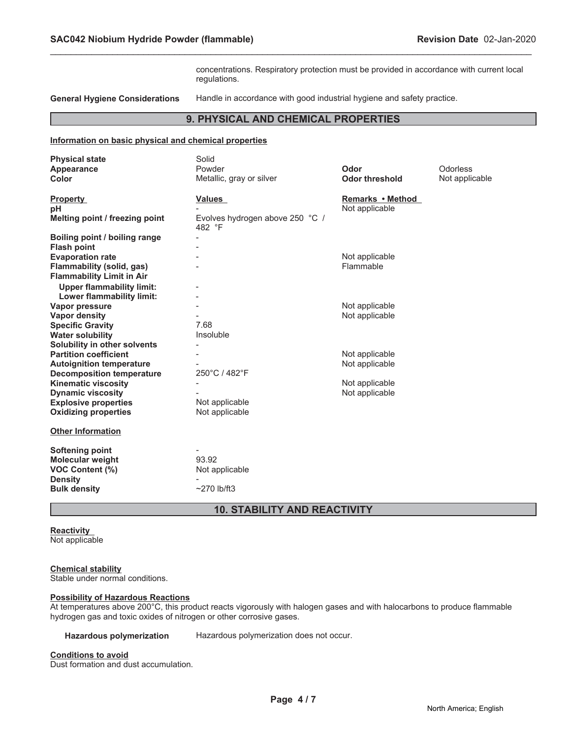concentrations. Respiratory protection must be provided in accordance with current local regulations.

**General Hygiene Considerations** Handle in accordance with good industrial hygiene and safety practice.

## **9. PHYSICAL AND CHEMICAL PROPERTIES**

\_\_\_\_\_\_\_\_\_\_\_\_\_\_\_\_\_\_\_\_\_\_\_\_\_\_\_\_\_\_\_\_\_\_\_\_\_\_\_\_\_\_\_\_\_\_\_\_\_\_\_\_\_\_\_\_\_\_\_\_\_\_\_\_\_\_\_\_\_\_\_\_\_\_\_\_\_\_\_\_\_\_\_\_\_\_\_\_\_\_\_\_\_

#### **Information on basic physical and chemical properties**

| <b>Physical state</b>            | Solid                                     |                       |                |
|----------------------------------|-------------------------------------------|-----------------------|----------------|
| Appearance                       | Powder                                    | Odor                  | Odorless       |
| Color                            | Metallic, gray or silver                  | <b>Odor threshold</b> | Not applicable |
|                                  |                                           |                       |                |
| <b>Property</b>                  | <b>Values</b>                             | Remarks • Method      |                |
| pH                               |                                           | Not applicable        |                |
| Melting point / freezing point   | Evolves hydrogen above 250 °C /<br>482 °F |                       |                |
| Boiling point / boiling range    |                                           |                       |                |
| <b>Flash point</b>               |                                           |                       |                |
| <b>Evaporation rate</b>          |                                           | Not applicable        |                |
| Flammability (solid, gas)        |                                           | Flammable             |                |
| <b>Flammability Limit in Air</b> |                                           |                       |                |
| <b>Upper flammability limit:</b> |                                           |                       |                |
| Lower flammability limit:        |                                           |                       |                |
| Vapor pressure                   |                                           | Not applicable        |                |
| <b>Vapor density</b>             |                                           | Not applicable        |                |
| <b>Specific Gravity</b>          | 7.68                                      |                       |                |
| <b>Water solubility</b>          | Insoluble                                 |                       |                |
| Solubility in other solvents     |                                           |                       |                |
| <b>Partition coefficient</b>     |                                           | Not applicable        |                |
| <b>Autoignition temperature</b>  |                                           | Not applicable        |                |
| <b>Decomposition temperature</b> | 250°C / 482°F                             |                       |                |
| <b>Kinematic viscosity</b>       |                                           | Not applicable        |                |
| <b>Dynamic viscosity</b>         |                                           | Not applicable        |                |
| <b>Explosive properties</b>      | Not applicable                            |                       |                |
| <b>Oxidizing properties</b>      | Not applicable                            |                       |                |
| <b>Other Information</b>         |                                           |                       |                |
|                                  |                                           |                       |                |
| <b>Softening point</b>           |                                           |                       |                |
| <b>Molecular weight</b>          | 93.92                                     |                       |                |
| <b>VOC Content (%)</b>           | Not applicable                            |                       |                |
| <b>Density</b>                   |                                           |                       |                |
| <b>Bulk density</b>              | $~270$ lb/ft3                             |                       |                |
|                                  |                                           |                       |                |

## **10. STABILITY AND REACTIVITY**

## **Reactivity**

Not applicable

## **Chemical stability**

Stable under normal conditions.

### **Possibility of Hazardous Reactions**

At temperatures above 200°C, this product reacts vigorously with halogen gases and with halocarbons to produce flammable hydrogen gas and toxic oxides of nitrogen or other corrosive gases.

**Hazardous polymerization** Hazardous polymerization does not occur.

#### **Conditions to avoid**

Dust formation and dust accumulation.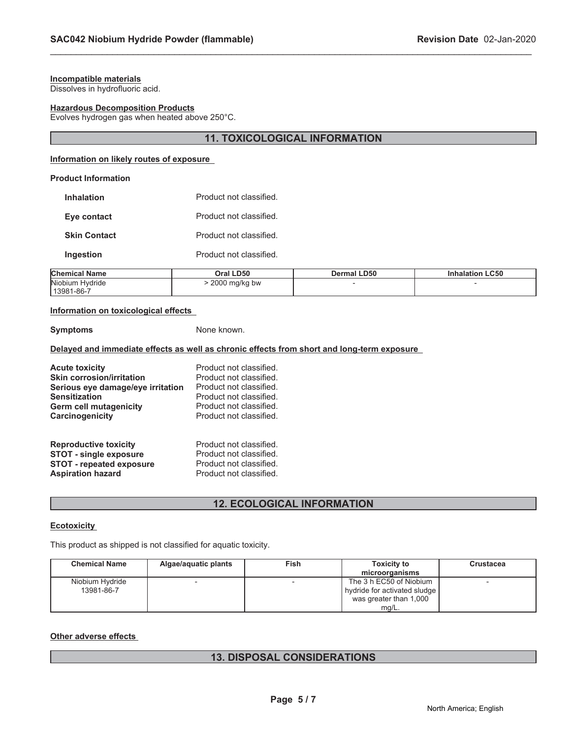## **Incompatible materials**

Dissolves in hydrofluoric acid.

#### **Hazardous Decomposition Products**

Evolves hydrogen gas when heated above 250°C.

## **11. TOXICOLOGICAL INFORMATION**

\_\_\_\_\_\_\_\_\_\_\_\_\_\_\_\_\_\_\_\_\_\_\_\_\_\_\_\_\_\_\_\_\_\_\_\_\_\_\_\_\_\_\_\_\_\_\_\_\_\_\_\_\_\_\_\_\_\_\_\_\_\_\_\_\_\_\_\_\_\_\_\_\_\_\_\_\_\_\_\_\_\_\_\_\_\_\_\_\_\_\_\_\_

## **Information on likely routes of exposure**

## **Product Information**

| <b>Inhalation</b>   | Product not classified. |
|---------------------|-------------------------|
| Eye contact         | Product not classified. |
| <b>Skin Contact</b> | Product not classified. |
| Ingestion           | Product not classified. |

| <b>Chemical Name</b> | Oral LD50     | <b>Dermal LD50</b> | <b>Inhalation LC50</b> |
|----------------------|---------------|--------------------|------------------------|
| Niobium Hvdride      | 2000 mg/kg bw |                    |                        |
| 13981-86-7           |               |                    |                        |

## **Information on toxicological effects**

#### **Symptoms** None known.

## **Delayed and immediate effects as well as chronic effects from short and long-term exposure**

| <b>Acute toxicity</b>             | Product not classified. |
|-----------------------------------|-------------------------|
| <b>Skin corrosion/irritation</b>  | Product not classified. |
| Serious eye damage/eye irritation | Product not classified. |
| <b>Sensitization</b>              | Product not classified. |
| <b>Germ cell mutagenicity</b>     | Product not classified. |
| Carcinogenicity                   | Product not classified. |
| <b>Reproductive toxicity</b>      | Product not classified. |
| <b>STOT - single exposure</b>     | Product not classified. |
| <b>STOT - repeated exposure</b>   | Product not classified. |
| <b>Aspiration hazard</b>          | Product not classified. |

# **12. ECOLOGICAL INFORMATION**

## **Ecotoxicity**

This product as shipped is not classified for aquatic toxicity.

| <b>Chemical Name</b> | Algae/aquatic plants     | Fish | <b>Toxicity to</b>           | <b>Crustacea</b>         |
|----------------------|--------------------------|------|------------------------------|--------------------------|
|                      |                          |      | microorganisms               |                          |
| Niobium Hydride      | $\overline{\phantom{a}}$ |      | The 3 h EC50 of Niobium      | $\overline{\phantom{a}}$ |
| 13981-86-7           |                          |      | hydride for activated sludge |                          |
|                      |                          |      | was greater than 1,000       |                          |
|                      |                          |      | mg/L.                        |                          |

## **Other adverse effects**

## **13. DISPOSAL CONSIDERATIONS**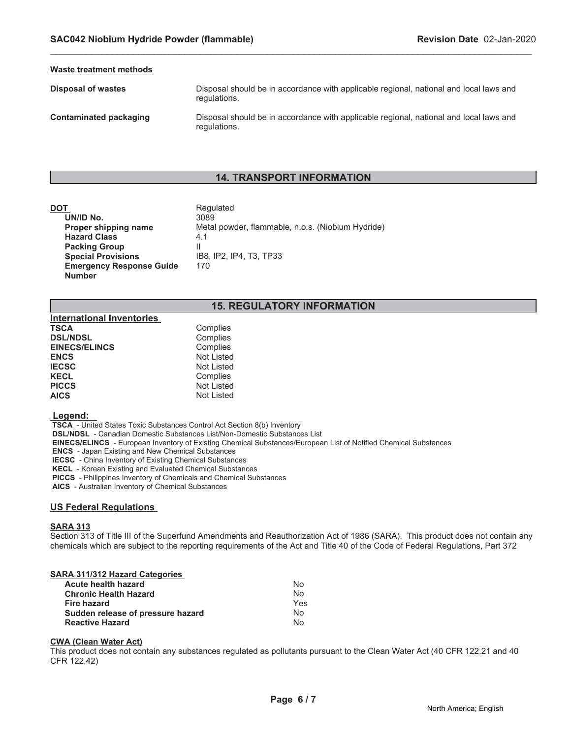#### **Waste treatment methods**

**Disposal of wastes Disposal should be in accordance with applicable regional, national and local laws and <b>Disposal should be in accordance with applicable regional, national and local laws and** regulations.

**Contaminated packaging** Disposal should be in accordance with applicable regional, national and local laws and regulations.

## **14. TRANSPORT INFORMATION**

\_\_\_\_\_\_\_\_\_\_\_\_\_\_\_\_\_\_\_\_\_\_\_\_\_\_\_\_\_\_\_\_\_\_\_\_\_\_\_\_\_\_\_\_\_\_\_\_\_\_\_\_\_\_\_\_\_\_\_\_\_\_\_\_\_\_\_\_\_\_\_\_\_\_\_\_\_\_\_\_\_\_\_\_\_\_\_\_\_\_\_\_\_

| DOT                             | Regulated                                         |
|---------------------------------|---------------------------------------------------|
| UN/ID No.                       | 3089                                              |
| Proper shipping name            | Metal powder, flammable, n.o.s. (Niobium Hydride) |
| <b>Hazard Class</b>             | 4.1                                               |
| <b>Packing Group</b>            |                                                   |
| <b>Special Provisions</b>       | IB8. IP2. IP4. T3. TP33                           |
| <b>Emergency Response Guide</b> | 170                                               |
| <b>Number</b>                   |                                                   |

# **15. REGULATORY INFORMATION**

| Complies          |
|-------------------|
| Complies          |
| Complies          |
| <b>Not Listed</b> |
| <b>Not Listed</b> |
| Complies          |
| <b>Not Listed</b> |
| <b>Not Listed</b> |
|                   |

#### **Legend:**

 **TSCA** - United States Toxic Substances Control Act Section 8(b) Inventory

 **DSL/NDSL** - Canadian Domestic Substances List/Non-Domestic Substances List

 **EINECS/ELINCS** - European Inventory of Existing Chemical Substances/European List of Notified Chemical Substances

 **ENCS** - Japan Existing and New Chemical Substances

 **IECSC** - China Inventory of Existing Chemical Substances

 **KECL** - Korean Existing and Evaluated Chemical Substances

 **PICCS** - Philippines Inventory of Chemicals and Chemical Substances

 **AICS** - Australian Inventory of Chemical Substances

## **US Federal Regulations**

## **SARA 313**

Section 313 of Title III of the Superfund Amendments and Reauthorization Act of 1986 (SARA). This product does not contain any chemicals which are subject to the reporting requirements of the Act and Title 40 of the Code of Federal Regulations, Part 372

## **SARA 311/312 Hazard Categories**

| <b>Acute health hazard</b>        | No  |
|-----------------------------------|-----|
| <b>Chronic Health Hazard</b>      | N٥  |
| Fire hazard                       | Yes |
| Sudden release of pressure hazard | N٥  |
| <b>Reactive Hazard</b>            | N٥  |

#### **CWA (Clean Water Act)**

This product does not contain any substances regulated as pollutants pursuant to the Clean Water Act (40 CFR 122.21 and 40 CFR 122.42)